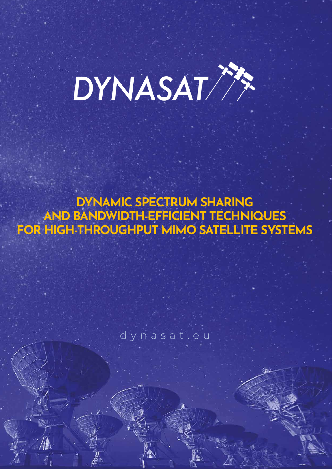# DYNASAT<sup>7</sup>

#### **DYNAMIC SPECTRUM SHARING AND BANDWIDTH-EFFICIENT TECHNIQUES FOR HIGH-THROUGHPUT MIMO SATELLITE SYSTEMS**

dynasat.eu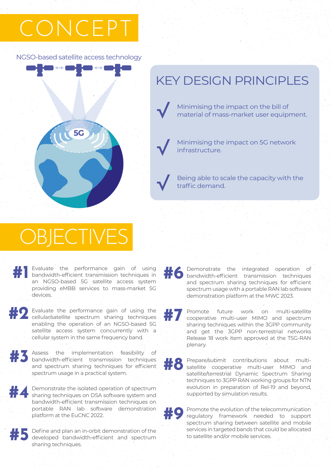# CONCEPT

NGSO-based satellite access technology



#### KEY DESIGN PRINCIPLES

Minimising the impact on the bill of material of mass-market user equipment. **Ȍ**

> Minimising the impact on 5G network infrastructure.

**Ȍ**

**Ȍ**

Being able to scale the capacity with the traffic demand.

## **OBJECTIVES**

Evaluate the performance gain of using bandwidth-efficient transmission techniques in an NGSO-based 5G satellite access system providing eMBB services to mass-market 5G devices. **#1**

Evaluate the performance gain of using the cellular/satellite spectrum sharing techniques enabling the operation of an NGSO-based 5G satellite access system concurrently with a cellular system in the same frequency band. **#2**

Assess the implementation feasibility of bandwidth-efficient transmission techniques and spectrum sharing techniques for efficient spectrum usage in a practical system. **#3**

Demonstrate the isolated operation of spectrum sharing techniques on DSA software system and bandwidth-efficient transmission techniques on portable RAN lab software demonstration platform at the EuCNC 2022. **#4**

**#5**

Define and plan an in-orbit demonstration of the developed bandwidth-efficient and spectrum sharing techniques.

Demonstrate the integrated operation of bandwidth-efficient transmission techniques and spectrum sharing techniques for efficient spectrum usage with a portable RAN lab software demonstration platform at the MWC 2023. **#6**

- Promote future work on multi-satellite cooperative multi-user MIMO and spectrum sharing techniques within the 3GPP community and get the 3GPP non-terrestrial networks Release 18 work item approved at the TSG-RAN plenary. **#7**
- Prepare/submit contributions about multisatellite cooperative multi-user MIMO and satellite/terrestrial Dynamic Spectrum Sharing techniques to 3GPP RAN working groups for NTN evolution in preparation of Rel-19 and beyond, supported by simulation results. **#8**

Promote the evolution of the telecommunication regulatory framework needed to support spectrum sharing between satellite and mobile services in targeted bands that could be allocated to satellite and/or mobile services. **#9**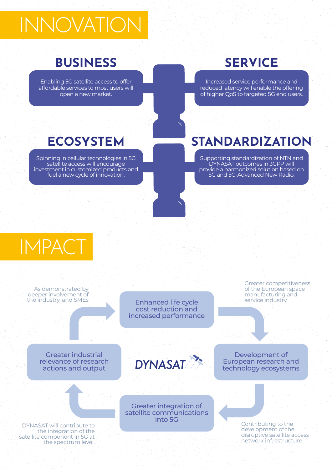## INNOVATION

#### **BUSINESS**

Enabling 5G satellite access to offer affordable services to most users will open a new market.

#### **SERVICE**

Increased service performance and reduced latency will enable the offering of higher QoS to targeted 5G end users.

#### **ECOSYSTEM**

Spinning in cellular technologies in 5G satellite access will encourage investment in customized products and fuel a new cycle of innovation.

#### **STANDARDIZATION**

Supporting standardization of NTN and DYNASAT outcomes in 3GPP will provide a harmonized solution based on 5G and 5G-Advanced New Radio.

### IMPACT

Greater competitiveness As demonstrated by of the European space deeper involvement of manufacturing and the industry, and SMEs service industry Enhanced life cycle cost reduction and increased performance Greater industrial Development of DYNASAT relevance of research European research and actions and output technology ecosystems Greater integration of satellite communications

DYNASAT will contribute to the integration of the satellite component in 5G at the spectrum level. into 5G

Contributing to the development of the disruptive satellite access network infrastructure